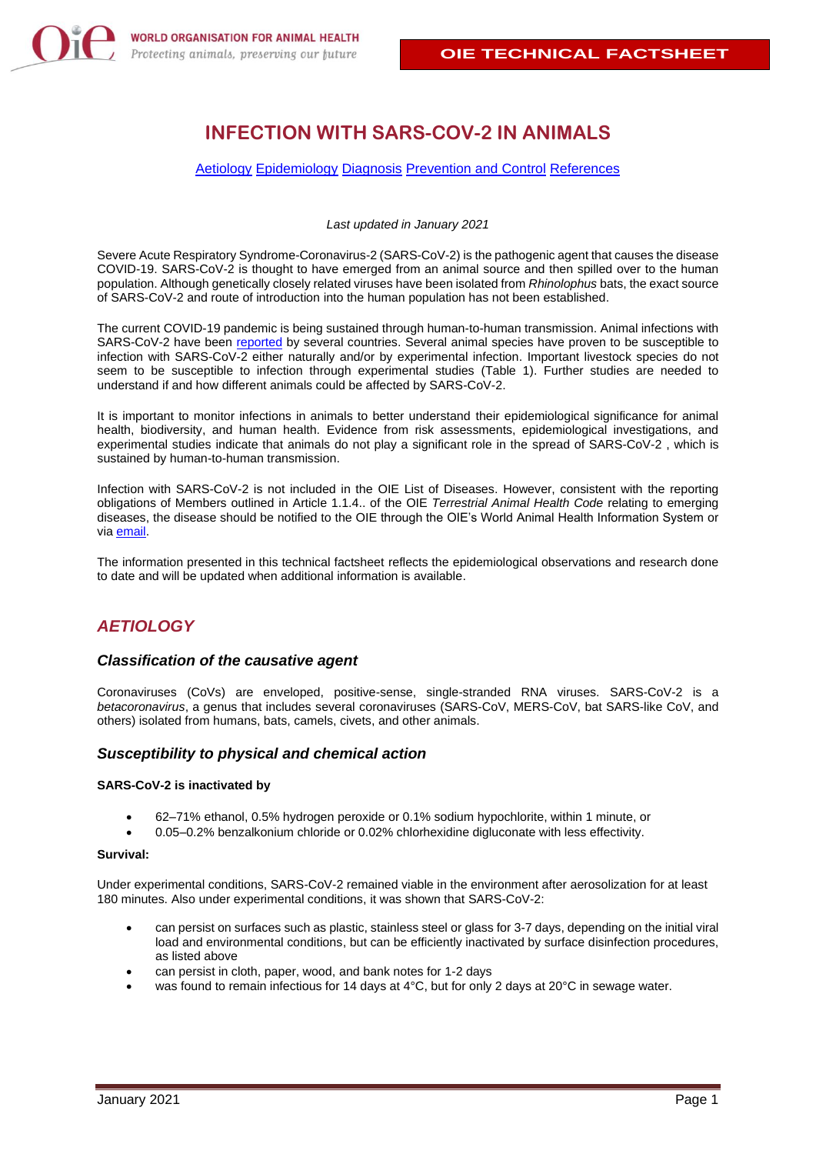# **INFECTION WITH SARS-COV-2 IN ANIMALS**

#### [Aetiology](#page-0-0) [Epidemiology](#page-1-0) [Diagnosis](#page-3-0) [Prevention and Control](#page-4-0) [References](#page-4-1)

*Last updated in January 2021*

Severe Acute Respiratory Syndrome-Coronavirus-2 (SARS-CoV-2) is the pathogenic agent that causes the disease COVID-19. SARS-CoV-2 is thought to have emerged from an animal source and then spilled over to the human population. Although genetically closely related viruses have been isolated from *Rhinolophus* bats, the exact source of SARS-CoV-2 and route of introduction into the human population has not been established.

The current COVID-19 pandemic is being sustained through human-to-human transmission. Animal infections with SARS-CoV-2 have been [reported](https://www.oie.int/en/scientific-expertise/specific-information-and-recommendations/questions-and-answers-on-2019novel-coronavirus/events-in-animals/) by several countries. Several animal species have proven to be susceptible to infection with SARS-CoV-2 either naturally and/or by experimental infection. Important livestock species do not seem to be susceptible to infection through experimental studies (Table 1). Further studies are needed to understand if and how different animals could be affected by SARS-CoV-2.

It is important to monitor infections in animals to better understand their epidemiological significance for animal health, biodiversity, and human health. Evidence from risk assessments, epidemiological investigations, and experimental studies indicate that animals do not play a significant role in the spread of SARS-CoV-2 , which is sustained by human-to-human transmission.

Infection with SARS-CoV-2 is not included in the OIE List of Diseases. However, consistent with the reporting obligations of Members outlined in Article 1.1.4.. of the OIE *Terrestrial Animal Health Code* relating to emerging diseases, the disease should be notified to the OIE through the OIE's World Animal Health Information System or via [email.](mailto:information.dept@oie.int)

The information presented in this technical factsheet reflects the epidemiological observations and research done to date and will be updated when additional information is available.

## <span id="page-0-0"></span>*AETIOLOGY*

#### *Classification of the causative agent*

Coronaviruses (CoVs) are enveloped, positive-sense, single-stranded RNA viruses. SARS-CoV-2 is a *betacoronavirus*, a genus that includes several coronaviruses (SARS-CoV, MERS-CoV, bat SARS-like CoV, and others) isolated from humans, bats, camels, civets, and other animals.

#### *Susceptibility to physical and chemical action*

#### **SARS-CoV-2 is inactivated by**

- 62–71% ethanol, 0.5% hydrogen peroxide or 0.1% sodium hypochlorite, within 1 minute, or
- 0.05–0.2% benzalkonium chloride or 0.02% chlorhexidine digluconate with less effectivity.

#### **Survival:**

Under experimental conditions, SARS-CoV-2 remained viable in the environment after aerosolization for at least 180 minutes. Also under experimental conditions, it was shown that SARS-CoV-2:

- can persist on surfaces such as plastic, stainless steel or glass for 3-7 days, depending on the initial viral load and environmental conditions, but can be efficiently inactivated by surface disinfection procedures, as listed above
- can persist in cloth, paper, wood, and bank notes for 1-2 days
- was found to remain infectious for 14 days at 4°C, but for only 2 days at 20°C in sewage water.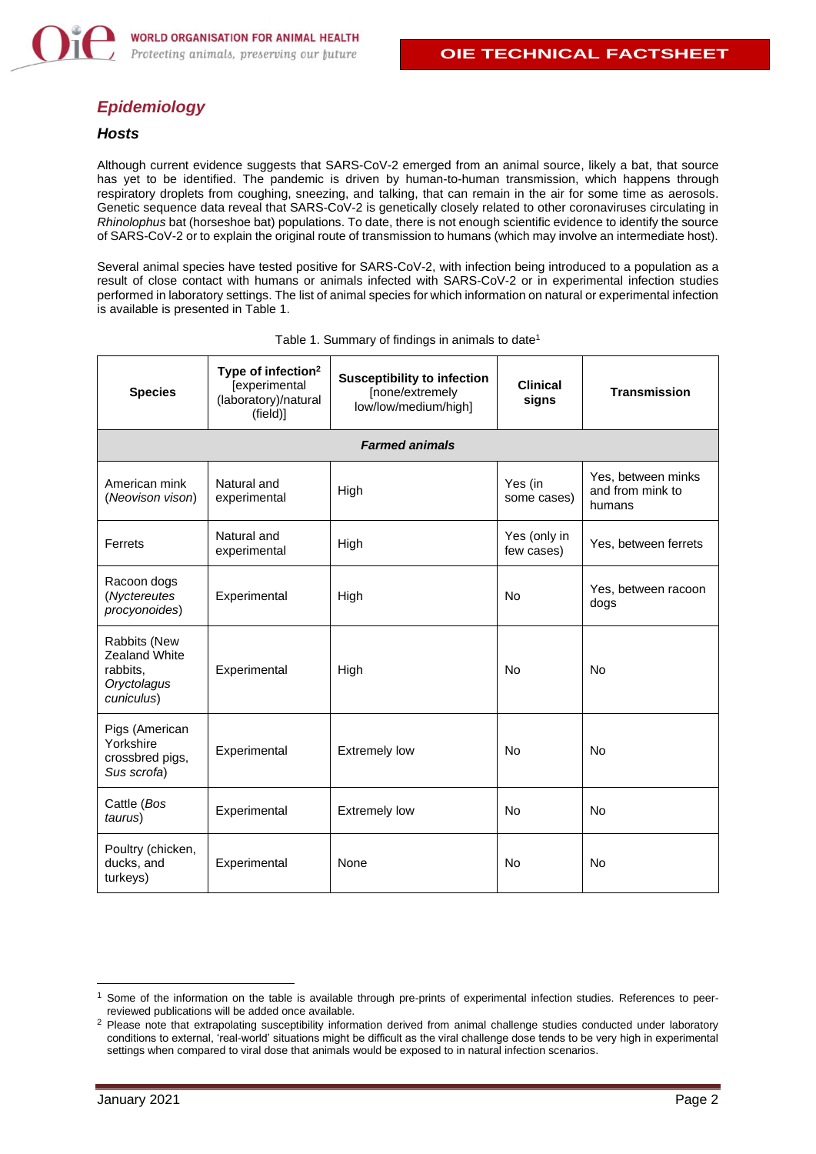

## <span id="page-1-0"></span>*Epidemiology*

#### *Hosts*

Although current evidence suggests that SARS-CoV-2 emerged from an animal source, likely a bat, that source has yet to be identified. The pandemic is driven by human-to-human transmission, which happens through respiratory droplets from coughing, sneezing, and talking, that can remain in the air for some time as aerosols. Genetic sequence data reveal that SARS-CoV-2 is genetically closely related to other coronaviruses circulating in *Rhinolophus* bat (horseshoe bat) populations. To date, there is not enough scientific evidence to identify the source of SARS-CoV-2 or to explain the original route of transmission to humans (which may involve an intermediate host).

Several animal species have tested positive for SARS-CoV-2, with infection being introduced to a population as a result of close contact with humans or animals infected with SARS-CoV-2 or in experimental infection studies performed in laboratory settings. The list of animal species for which information on natural or experimental infection is available is presented in Table 1.

| <b>Species</b>                                                         | Type of infection <sup>2</sup><br>[experimental<br>(laboratory)/natural<br>(field)] | <b>Susceptibility to infection</b><br>[none/extremely<br>low/low/medium/high] | <b>Clinical</b><br>signs   | <b>Transmission</b>                              |  |  |  |
|------------------------------------------------------------------------|-------------------------------------------------------------------------------------|-------------------------------------------------------------------------------|----------------------------|--------------------------------------------------|--|--|--|
| <b>Farmed animals</b>                                                  |                                                                                     |                                                                               |                            |                                                  |  |  |  |
| American mink<br>(Neovison vison)                                      | Natural and<br>experimental                                                         | High                                                                          | Yes (in<br>some cases)     | Yes, between minks<br>and from mink to<br>humans |  |  |  |
| Ferrets                                                                | Natural and<br>experimental                                                         | High                                                                          | Yes (only in<br>few cases) | Yes, between ferrets                             |  |  |  |
| Racoon dogs<br>(Nyctereutes<br>procyonoides)                           | Experimental                                                                        | High                                                                          | No                         | Yes, between racoon<br>dogs                      |  |  |  |
| Rabbits (New<br>Zealand White<br>rabbits,<br>Oryctolagus<br>cuniculus) | Experimental                                                                        | High                                                                          | <b>No</b>                  | <b>No</b>                                        |  |  |  |
| Pigs (American<br>Yorkshire<br>crossbred pigs,<br>Sus scrofa)          | Experimental                                                                        | <b>Extremely low</b>                                                          | No                         | <b>No</b>                                        |  |  |  |
| Cattle (Bos<br>taurus)                                                 | Experimental                                                                        | <b>Extremely low</b>                                                          | <b>No</b>                  | <b>No</b>                                        |  |  |  |
| Poultry (chicken,<br>ducks, and<br>turkeys)                            | Experimental                                                                        | None                                                                          | No                         | <b>No</b>                                        |  |  |  |

Table 1. Summary of findings in animals to date<sup>1</sup>

<sup>&</sup>lt;sup>1</sup> Some of the information on the table is available through pre-prints of experimental infection studies. References to peerreviewed publications will be added once available.

<sup>&</sup>lt;sup>2</sup> Please note that extrapolating susceptibility information derived from animal challenge studies conducted under laboratory conditions to external, 'real-world' situations might be difficult as the viral challenge dose tends to be very high in experimental settings when compared to viral dose that animals would be exposed to in natural infection scenarios.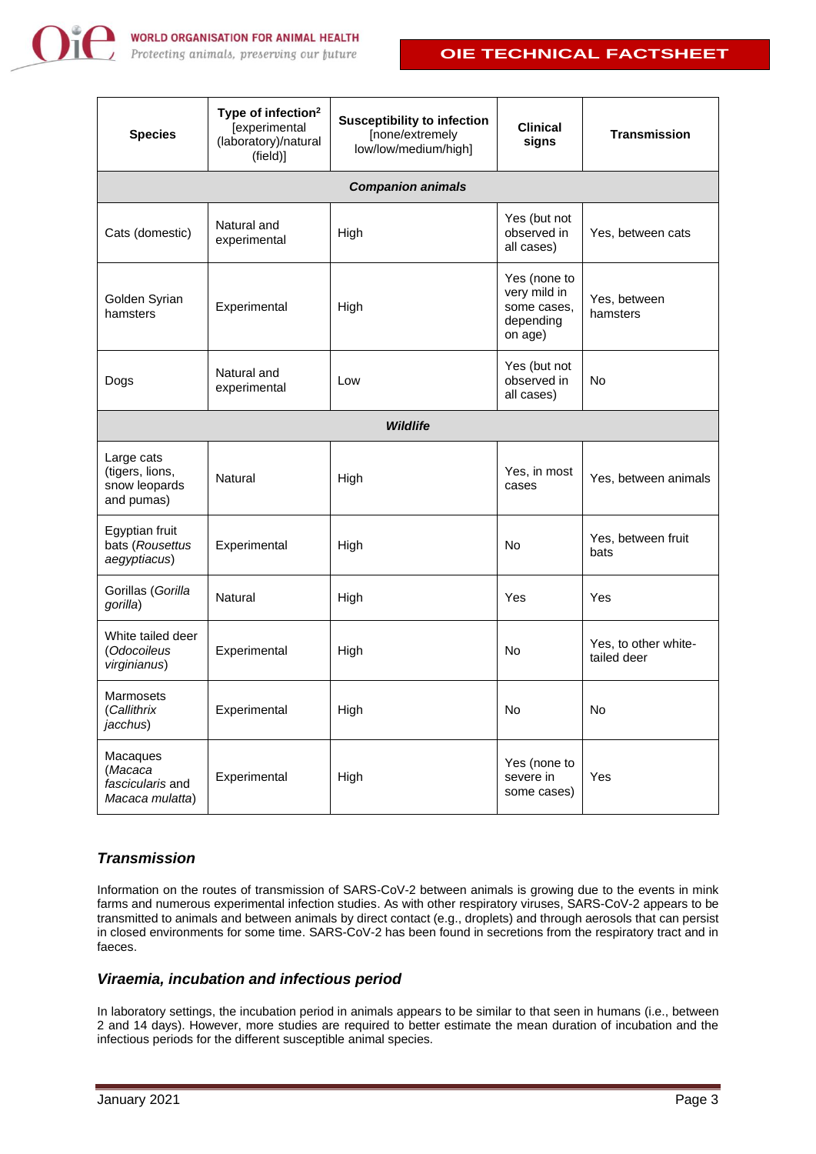

## **OIE TECHNICAL FACTSHEET**

| <b>Species</b>                                               | Type of infection <sup>2</sup><br>[experimental<br>(laboratory)/natural<br>(field)] | <b>Susceptibility to infection</b><br>[none/extremely<br>low/low/medium/high] | <b>Clinical</b><br>signs                                            | <b>Transmission</b>                 |  |  |  |
|--------------------------------------------------------------|-------------------------------------------------------------------------------------|-------------------------------------------------------------------------------|---------------------------------------------------------------------|-------------------------------------|--|--|--|
| <b>Companion animals</b>                                     |                                                                                     |                                                                               |                                                                     |                                     |  |  |  |
| Cats (domestic)                                              | Natural and<br>experimental                                                         | High                                                                          | Yes (but not<br>observed in<br>all cases)                           | Yes, between cats                   |  |  |  |
| Golden Syrian<br>hamsters                                    | Experimental                                                                        | High                                                                          | Yes (none to<br>very mild in<br>some cases,<br>depending<br>on age) | Yes, between<br>hamsters            |  |  |  |
| Dogs                                                         | Natural and<br>experimental                                                         | Low                                                                           | Yes (but not<br>observed in<br>all cases)                           | No                                  |  |  |  |
| <b>Wildlife</b>                                              |                                                                                     |                                                                               |                                                                     |                                     |  |  |  |
| Large cats<br>(tigers, lions,<br>snow leopards<br>and pumas) | Natural                                                                             | High                                                                          | Yes, in most<br>cases                                               | Yes, between animals                |  |  |  |
| Egyptian fruit<br>bats (Rousettus<br>aegyptiacus)            | Experimental                                                                        | High                                                                          | No                                                                  | Yes, between fruit<br>bats          |  |  |  |
| Gorillas (Gorilla<br>gorilla)                                | Natural                                                                             | High                                                                          | Yes                                                                 | Yes                                 |  |  |  |
| White tailed deer<br>(Odocoileus<br>virginianus)             | Experimental                                                                        | High                                                                          | No                                                                  | Yes, to other white-<br>tailed deer |  |  |  |
| Marmosets<br>(Callithrix<br>jacchus)                         | Experimental                                                                        | High                                                                          | No                                                                  | No                                  |  |  |  |
| Macaques<br>(Macaca<br>fascicularis and<br>Macaca mulatta)   | Experimental                                                                        | High                                                                          | Yes (none to<br>severe in<br>some cases)                            | Yes                                 |  |  |  |

## *Transmission*

Information on the routes of transmission of SARS-CoV-2 between animals is growing due to the events in mink farms and numerous experimental infection studies. As with other respiratory viruses, SARS-CoV-2 appears to be transmitted to animals and between animals by direct contact (e.g., droplets) and through aerosols that can persist in closed environments for some time. SARS-CoV-2 has been found in secretions from the respiratory tract and in faeces.

### *Viraemia, incubation and infectious period*

In laboratory settings, the incubation period in animals appears to be similar to that seen in humans (i.e., between 2 and 14 days). However, more studies are required to better estimate the mean duration of incubation and the infectious periods for the different susceptible animal species.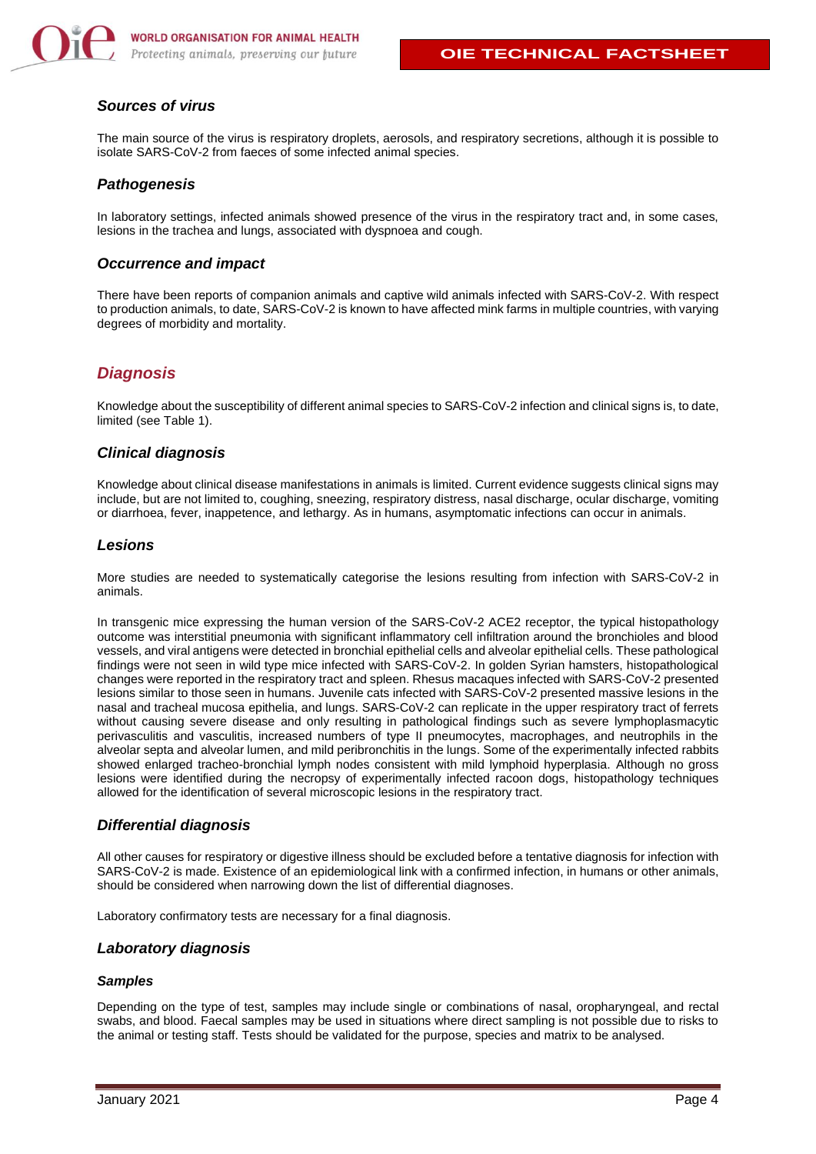

## *Sources of virus*

The main source of the virus is respiratory droplets, aerosols, and respiratory secretions, although it is possible to isolate SARS-CoV-2 from faeces of some infected animal species.

### *Pathogenesis*

In laboratory settings, infected animals showed presence of the virus in the respiratory tract and, in some cases, lesions in the trachea and lungs, associated with dyspnoea and cough.

#### *Occurrence and impact*

There have been reports of companion animals and captive wild animals infected with SARS-CoV-2. With respect to production animals, to date, SARS-CoV-2 is known to have affected mink farms in multiple countries, with varying degrees of morbidity and mortality.

## <span id="page-3-0"></span>*Diagnosis*

Knowledge about the susceptibility of different animal species to SARS-CoV-2 infection and clinical signs is, to date, limited (see Table 1).

#### *Clinical diagnosis*

Knowledge about clinical disease manifestations in animals is limited. Current evidence suggests clinical signs may include, but are not limited to, coughing, sneezing, respiratory distress, nasal discharge, ocular discharge, vomiting or diarrhoea, fever, inappetence, and lethargy. As in humans, asymptomatic infections can occur in animals.

## *Lesions*

More studies are needed to systematically categorise the lesions resulting from infection with SARS-CoV-2 in animals.

In transgenic mice expressing the human version of the SARS-CoV-2 ACE2 receptor, the typical histopathology outcome was interstitial pneumonia with significant inflammatory cell infiltration around the bronchioles and blood vessels, and viral antigens were detected in bronchial epithelial cells and alveolar epithelial cells. These pathological findings were not seen in wild type mice infected with SARS-CoV-2. In golden Syrian hamsters, histopathological changes were reported in the respiratory tract and spleen. Rhesus macaques infected with SARS-CoV-2 presented lesions similar to those seen in humans. Juvenile cats infected with SARS-CoV-2 presented massive lesions in the nasal and tracheal mucosa epithelia, and lungs. SARS-CoV-2 can replicate in the upper respiratory tract of ferrets without causing severe disease and only resulting in pathological findings such as severe lymphoplasmacytic perivasculitis and vasculitis, increased numbers of type II pneumocytes, macrophages, and neutrophils in the alveolar septa and alveolar lumen, and mild peribronchitis in the lungs. Some of the experimentally infected rabbits showed enlarged tracheo-bronchial lymph nodes consistent with mild lymphoid hyperplasia. Although no gross lesions were identified during the necropsy of experimentally infected racoon dogs, histopathology techniques allowed for the identification of several microscopic lesions in the respiratory tract.

#### *Differential diagnosis*

All other causes for respiratory or digestive illness should be excluded before a tentative diagnosis for infection with SARS-CoV-2 is made. Existence of an epidemiological link with a confirmed infection, in humans or other animals, should be considered when narrowing down the list of differential diagnoses.

Laboratory confirmatory tests are necessary for a final diagnosis.

#### *Laboratory diagnosis*

#### *Samples*

Depending on the type of test, samples may include single or combinations of nasal, oropharyngeal, and rectal swabs, and blood. Faecal samples may be used in situations where direct sampling is not possible due to risks to the animal or testing staff. Tests should be validated for the purpose, species and matrix to be analysed.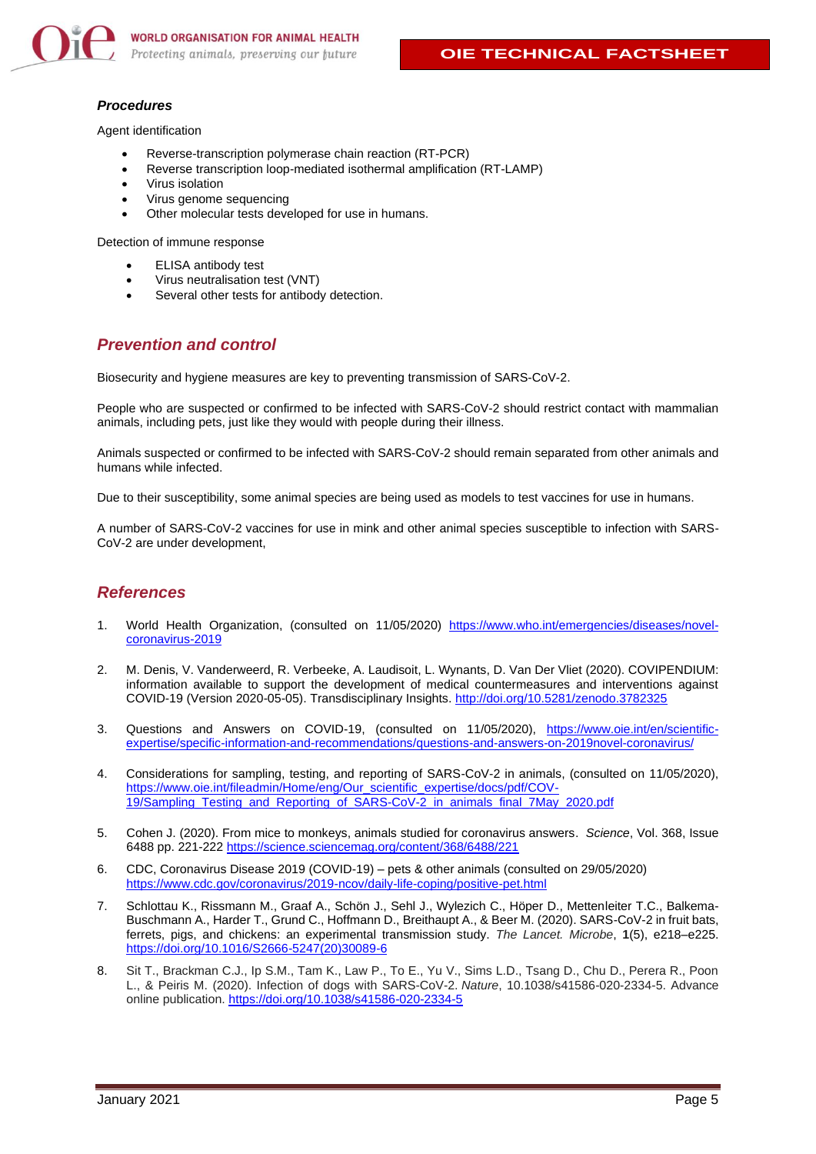

#### *Procedures*

Agent identification

- Reverse-transcription polymerase chain reaction (RT-PCR)
- Reverse transcription loop-mediated isothermal amplification (RT-LAMP)
- Virus isolation
- Virus genome sequencing
- Other molecular tests developed for use in humans.

Detection of immune response

- **ELISA** antibody test
- Virus neutralisation test (VNT)
- <span id="page-4-0"></span>Several other tests for antibody detection.

## *Prevention and control*

Biosecurity and hygiene measures are key to preventing transmission of SARS-CoV-2.

People who are suspected or confirmed to be infected with SARS-CoV-2 should restrict contact with mammalian animals, including pets, just like they would with people during their illness.

Animals suspected or confirmed to be infected with SARS-CoV-2 should remain separated from other animals and humans while infected.

Due to their susceptibility, some animal species are being used as models to test vaccines for use in humans.

A number of SARS-CoV-2 vaccines for use in mink and other animal species susceptible to infection with SARS-CoV-2 are under development,

#### <span id="page-4-1"></span>*References*

- 1. World Health Organization, (consulted on 11/05/2020) [https://www.who.int/emergencies/diseases/novel](https://www.who.int/emergencies/diseases/novel-coronavirus-2019)[coronavirus-2019](https://www.who.int/emergencies/diseases/novel-coronavirus-2019)
- 2. M. Denis, V. Vanderweerd, R. Verbeeke, A. Laudisoit, L. Wynants, D. Van Der Vliet (2020). COVIPENDIUM: information available to support the development of medical countermeasures and interventions against COVID-19 (Version 2020-05-05). Transdisciplinary Insights.<http://doi.org/10.5281/zenodo.3782325>
- 3. Questions and Answers on COVID-19, (consulted on 11/05/2020), [https://www.oie.int/en/scientific](https://www.oie.int/en/scientific-expertise/specific-information-and-recommendations/questions-and-answers-on-2019novel-coronavirus/)[expertise/specific-information-and-recommendations/questions-and-answers-on-2019novel-coronavirus/](https://www.oie.int/en/scientific-expertise/specific-information-and-recommendations/questions-and-answers-on-2019novel-coronavirus/)
- 4. Considerations for sampling, testing, and reporting of SARS-CoV-2 in animals, (consulted on 11/05/2020), [https://www.oie.int/fileadmin/Home/eng/Our\\_scientific\\_expertise/docs/pdf/COV-](https://www.oie.int/fileadmin/Home/eng/Our_scientific_expertise/docs/pdf/COV-19/Sampling_Testing_and_Reporting_of_SARS-CoV-2_in_animals_final_7May_2020.pdf)[19/Sampling\\_Testing\\_and\\_Reporting\\_of\\_SARS-CoV-2\\_in\\_animals\\_final\\_7May\\_2020.pdf](https://www.oie.int/fileadmin/Home/eng/Our_scientific_expertise/docs/pdf/COV-19/Sampling_Testing_and_Reporting_of_SARS-CoV-2_in_animals_final_7May_2020.pdf)
- 5. Cohen J. (2020). From mice to monkeys, animals studied for coronavirus answers. *Science*, Vol. 368, Issue 6488 pp. 221-222 <https://science.sciencemag.org/content/368/6488/221>
- 6. CDC, Coronavirus Disease 2019 (COVID-19) pets & other animals (consulted on 29/05/2020) <https://www.cdc.gov/coronavirus/2019-ncov/daily-life-coping/positive-pet.html>
- 7. Schlottau K., Rissmann M., Graaf A., Schön J., Sehl J., Wylezich C., Höper D., Mettenleiter T.C., Balkema-Buschmann A., Harder T., Grund C., Hoffmann D., Breithaupt A., & Beer M. (2020). SARS-CoV-2 in fruit bats, ferrets, pigs, and chickens: an experimental transmission study. *The Lancet. Microbe*, **1**(5), e218–e225. [https://doi.org/10.1016/S2666-5247\(20\)30089-6](https://doi.org/10.1016/S2666-5247(20)30089-6)
- 8. Sit T., Brackman C.J., Ip S.M., Tam K., Law P., To E., Yu V., Sims L.D., Tsang D., Chu D., Perera R., Poon L., & Peiris M. (2020). Infection of dogs with SARS-CoV-2. *Nature*, 10.1038/s41586-020-2334-5. Advance online publication[. https://doi.org/10.1038/s41586-020-2334-5](https://doi.org/10.1038/s41586-020-2334-5)